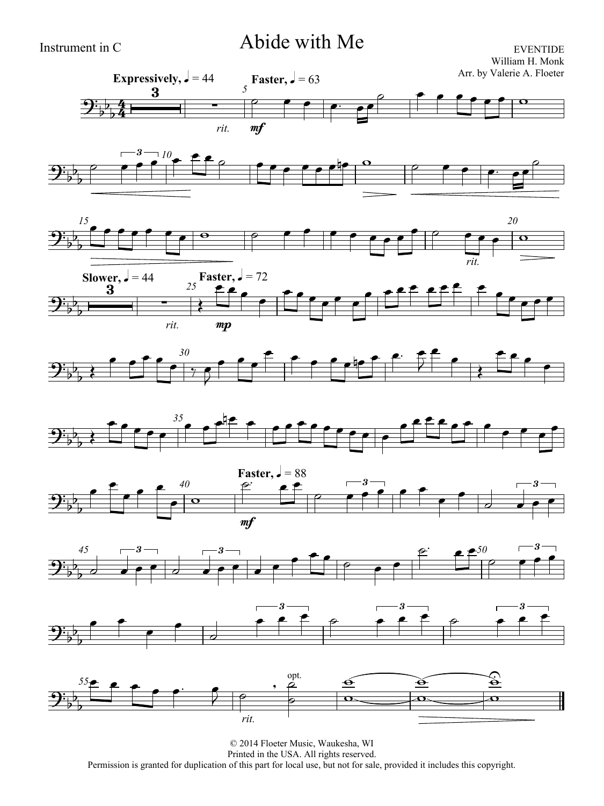# Instrument in C Abide with Me

EVENTIDE William H. Monk Arr. by Valerie A. Floeter



















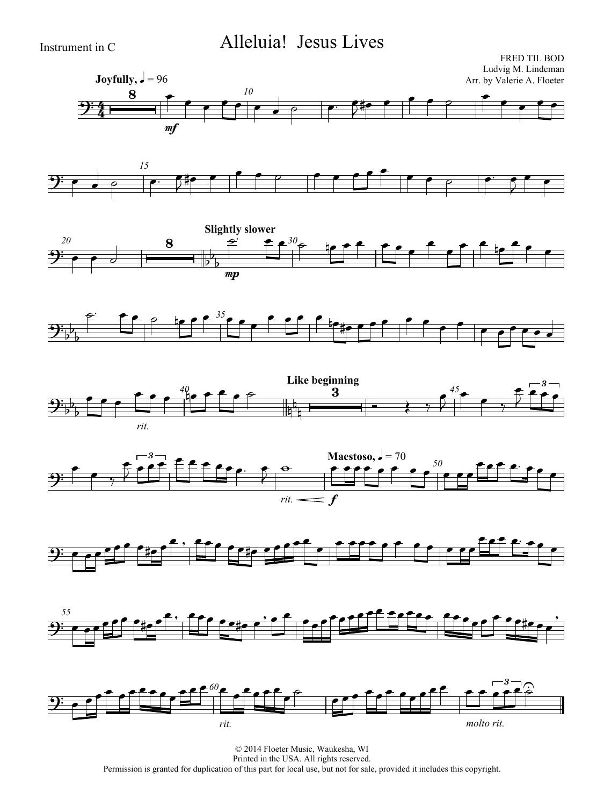### Instrument in C Alleluia! Jesus Lives

















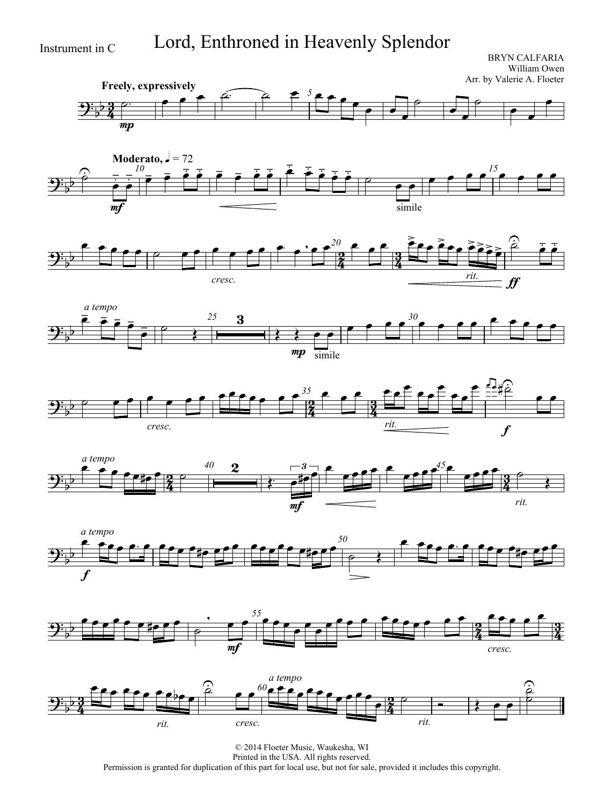Instrument in C Lord, Enthroned in Heavenly Splendor

BRYN CALFARIA William Owen Arr. by Valerie A. Floeter

















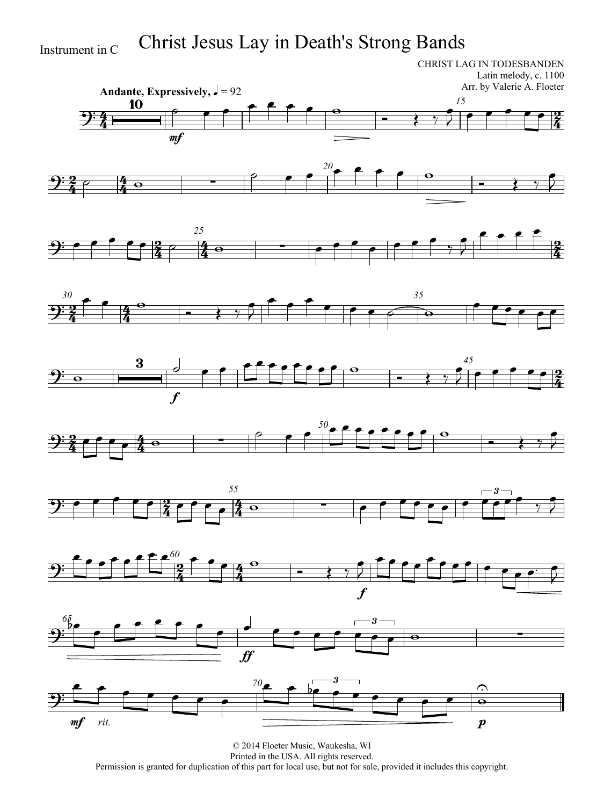# Instrument in C Christ Jesus Lay in Death's Strong Bands

CHRIST LAG IN TODESBANDEN Latin melody, c. 1100 Arr. by Valerie A. Floeter



















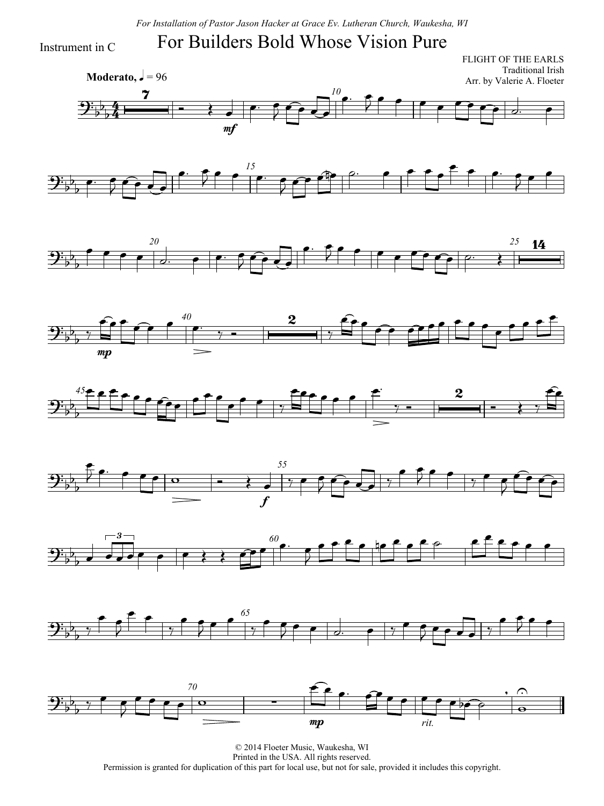*For Installation of Pastor Jason Hacker at Grace Ev. Lutheran Church, Waukesha, WI*

#### For Builders Bold Whose Vision Pure

Instrument in C

 $\frac{1}{2}$  $\frac{4}{4}$ **Moderato,**  $\sqrt{ } = 96$ FLIGHT OF THE EARLS Traditional Irish Arr. by Valerie A. Floeter *10*  $\mathbf{\mathcal{Y}}^{\mathbf{:}}_{\flat}$  $\overline{p}$  $\overline{b}$  $\overline{\mathbf{z}}$  $\overrightarrow{ }$ mf  $\overline{\phantom{a}}$  $\bullet$  f  $\int$  $\cdot$  5  $\begin{array}{|c|c|c|c|c|c|c|c|c|}\hline \end{array}$ 















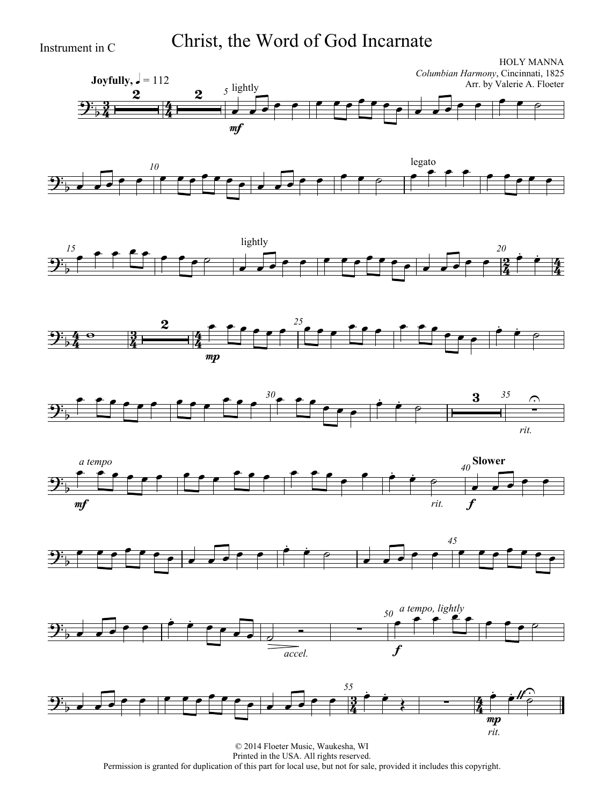Instrument in C Christ, the Word of God Incarnate















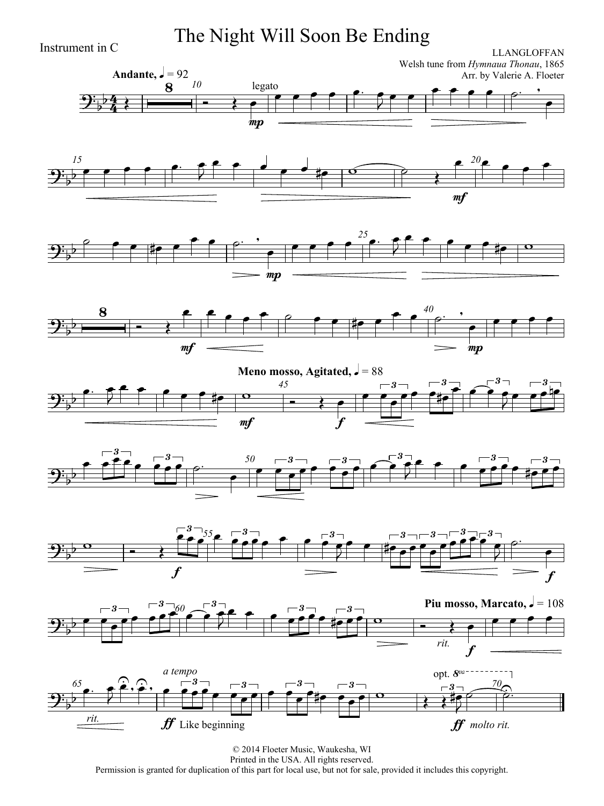Instrument in C **The Night Will Soon Be Ending**